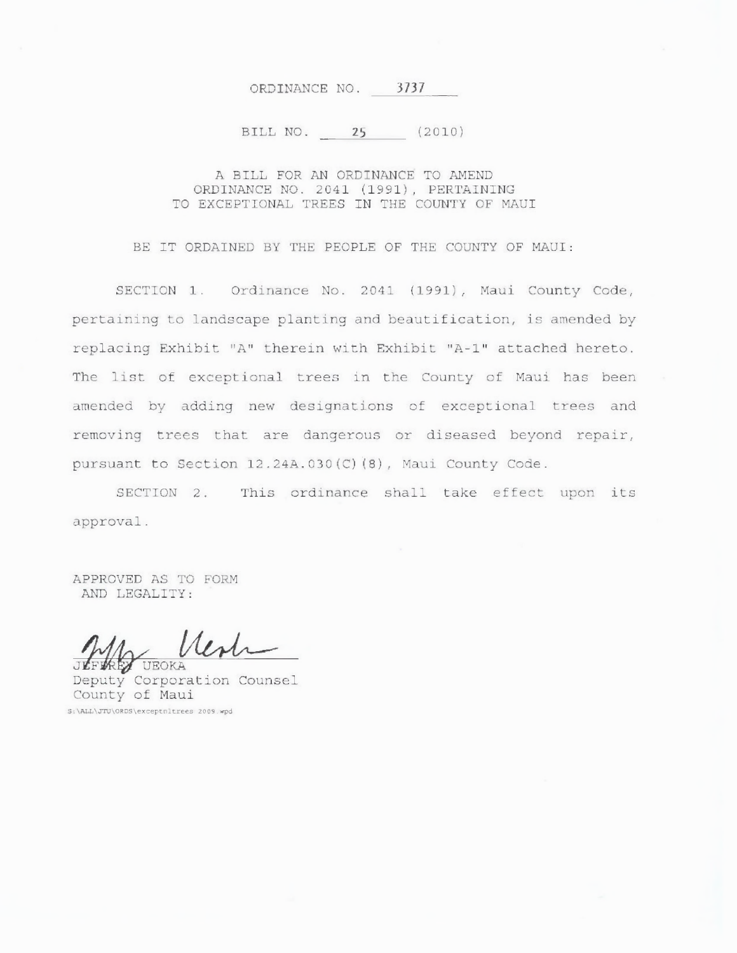#### ORDINANCE NO. 3737

#### BILL NO. 25 (2010)

#### A BILL FOR AN ORDINANCE TO AMEND ORDINANCE NO. 2041 (1991), PERTAINING TO EXCEPTIONAL TREES IN THE COUNTY OF MAUI

BE IT ORDAINED BY THE PEOPLE OF THE COUNTY OF MAUI:

SECTION 1. Ordinance No. 2041 (1991), Maui County Code, pertaining to landscape planting and beautification, is amended by replacing Exhibit "A" therein with Exhibit "A-1" attached hereto. The list of exceptional trees in the County of Maui has been amended by adding new designations of exceptional trees and removing trees that are dangerous or diseased beyond repair, pursuant to Section 12.24A.030(C)(8), Maui County Code.

SECTION 2. This ordinance shall take effect upon its approval.

APPROVED AS TO FORM AND LEGALITY:

Wats **REY UEOKA** 

Deputy Corporation Counsel County of Maui S:\ALL\JTU\ORDS\exceptnitrees 2009.wpd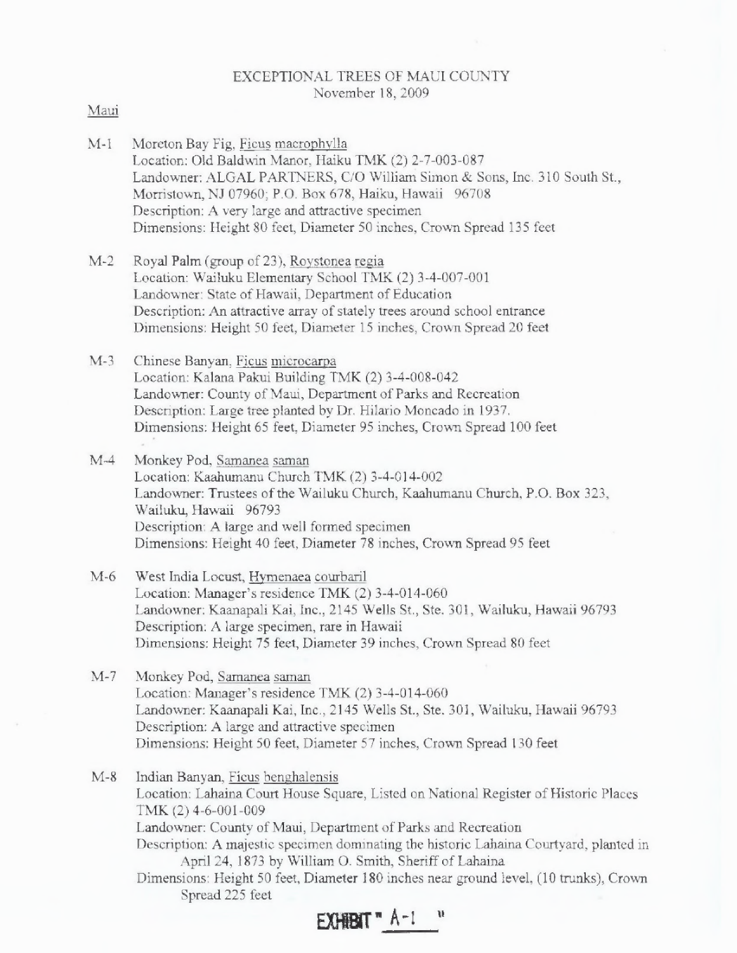## EXCEPTIONAL TREES OF MAUI COUNTY November 18, 2009

## Maui

- M-1 Moreton Bay Fig, Ficus macrophylla Location: Old Baldwin Manor, Haiku TMK (2) 2-7-003-087 Landowner: ALGAL PARTNERS, C/O William Simon & Sons, Inc. 310 South St., Morristown, NJ 07960; P.O. Box 678, Haiku, Hawaii 96708 Description: A very large and attractive specimen Dimensions: Height 80 feet, Diameter 50 inches, Crown Spread 135 feet
- M-2 Royal Palm (group of 23), Roystonea regia Location: Wailuku Elementary School TMK (2) 3-4-007-001 Landowner: State of Hawaii, Department of Education Description: An attractive array of stately trees around school entrance Dimensions: Height 50 feet, Diameter 15 inches, Crown Spread 20 feet
- M-3 Chinese Banyan, Ficus microcarpa Location: Kalana Pakui Building TMK (2) 3-4-008-042 Landowner: County of Maui, Department of Parks and Recreation Description: Large tree planted by Dr. Hilario Moncado in 1937. Dimensions: Height 65 feet, Diameter 95 inches, Crown Spread 100 feet
- M-4 Monkey Pod, Samanea saman Location: Kaahumanu Church TMK (2) 3-4-014-002 Landowner: Trustees of the Wailuku Church, Kaahumanu Church, P.O. Box 323, Wailuku, Hawaii 96793 Description: A large and well formed specimen Dimensions: Height 40 feet, Diameter 78 inches, Crown Spread 95 feet
- M-6 West India Locust, Hymenaea courbaril Location: Manager's residence TMK (2) 3-4-014-060 Landowner: Kaanapali Kai, Inc., 2145 Wells St., Ste. 301, Wailuku, Hawaii 96793 Description: A large specimen, rare in Hawaii Dimensions: Height 75 feet, Diameter 39 inches, Crown Spread 80 feet
- M-7 Monkey Pod, Sarnanea saman Location: Manager's residence TMK (2) 3-4-014-060 Landowner: Kaanapali Kai, Inc., 2145 Wells St., Ste. 301, Wailuku, Hawaii 96793 Description: A large and attractive specimen Dimensions: Height 50 feet. Diameter 57 inches, Crown Spread 130 feet
- M-8 Indian Banyan, Ficus benghalensis Location: Lahaina Court House Square, Listed on National Register of Historic Places TMK (2) 4-6-001-009 Landowner: County of Maui, Department of Parks and Recreation Description: A majestic specimen dominating the historic Lahaina Courtyard, planted in April 24, 1873 by William O. Smith, Sheriff of Lahaina Dimensions: Height 50 feet, Diameter 180 inches near ground level, (10 trunks), Crown Spread 225 feet

 $E$ **XHERIT**  $A-1$ <sup>*u*</sup>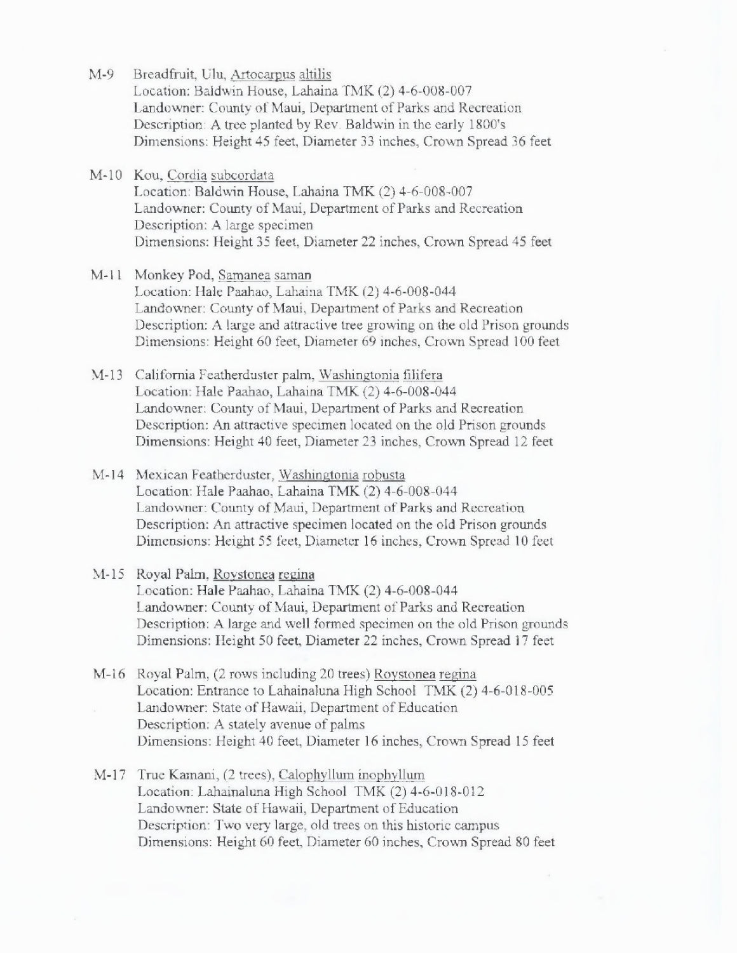- M-9 Breadfruit, Ulu, Artocarpus altilis Location: Baldwin House, Lahaina TMK (2) 4-6-008-007 Landowner: County of Maui, Department of Parks and Recreation Description: A tree planted by Rev. Baldwin in the early 1800's Dimensions: Height 45 feet, Diameter 33 inches, Crown Spread 36 feet
- M-10 Kou, Cordia subcordata Location: Baldwin House, Lahaina TMK (2) 4-6-008-007 Landowner: County of Maui, Department of Parks and Recreation Description: A large specimen Dimensions: Height 35 feet, Diameter 22 inches, Crown Spread 45 feet
- M-11 Monkey Pod, Samanea saman Location: Hale Paahao, Lahaina TMK (2) 4-6-008-044 Landowner: County of Maui, Department of Parks and Recreation Description: A large and attractive tree growing on the old Prison grounds Dimensions: Height 60 feet, Diameter 69 inches, Crown Spread 100 feet
- M-13 California Featherduster palm, Washingtonia filifera Location: Hale Paahao, Lahaina TMK (2) 4-6-008-044 Landowner: County of Maui, Department of Parks and Recreation Description: An attractive specimen located on the old Prison grounds Dimensions: Height 40 feet, Diameter 23 inches, Crown Spread 12 feet
- M-14 Mexican Featherduster, Washingtonia robusta Location: Hale Paahao, Lahaina TMK (2) 4-6-008-044 Landowner: County of Maui, Department of Parks and Recreation Description: An attractive specimen located on the old Prison grounds Dimensions: Height 55 feet, Diameter 16 inches, Crown Spread 10 feet
- M-15 Royal Palm, Roystonea regina Location: Hale Paahao, Lahaina TMK (2) 4-6-008-044 Landowner: County of Maui, Department of Parks and Recreation Description: A large and well formed specimen on the old Prison grounds Dimensions: Height 50 feet, Diameter 22 inches, Crown Spread 17 feet
- M-16 Royal Palm, (2 rows including 20 trees) Roystonea regina Location: Entrance to Lahainaluna High School TMK (2) 4-6-018-005 Landowner: State of Hawaii, Department of Education Description: A stately avenue of palms Dimensions: Height 40 feet, Diameter 16 inches, Crown Spread 15 feet
- M-17 True Kamani, (2 trees), Calophyllum inophyllum Location: Lahainaluna High School TMK (2) 4-6-018-012 Landowner: State of Hawaii, Department of Education Description: Two very large, old trees on this historic campus Dimensions: Height 60 feet, Diameter 60 inches, Crown Spread 80 feet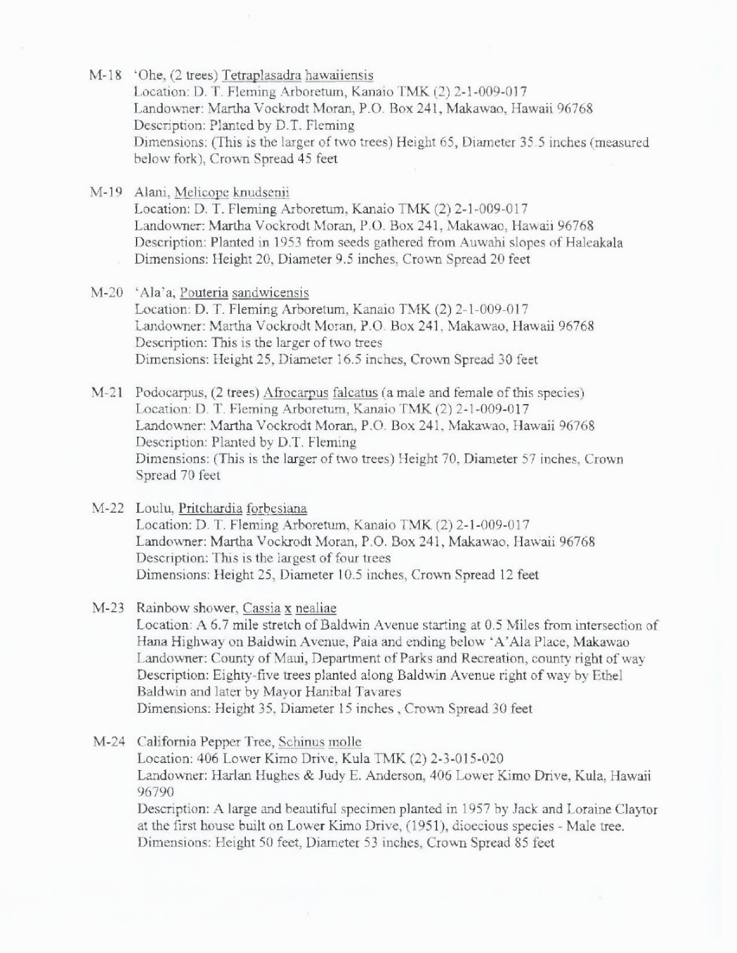- M-18 `Ohe, (2 trees) Tetraplasadra hawaiiensis Location: D. T. Fleming Arboretum, Kanaio TMK (2) 2-1-009-017 Landowner: Martha Vockrodt Moran, P.O. Box 241, Makawao, Hawaii 96768 Description: Planted by D.T. Fleming Dimensions: (This is the larger of two trees) Height 65, Diameter 35.5 inches (measured below fork), Crown Spread 45 feet
- M-19 Alani, Melicope knudsenii Location: D. T. Fleming Arboretum, Kanaio TMK (2) 2-1-009-017 Landowner: Martha Vockrodt Moran, P.O. Box 241, Makawao, Hawaii 96768 Description: Planted in 1953 from seeds gathered from Auwahi slopes of Haleakala Dimensions: Height 20, Diameter 9.5 inches, Crown Spread 20 feet
- M-20 `Ala'a, Pouteria sandwicensis Location: D. T. Fleming Arboretum, Kanaio TMK (2) 2-1-009-017 Landowner: Martha Vockrodt Moran, P.O. Box 241, Makawao, Hawaii 96768 Description: This is the larger of two trees Dimensions: Height 25, Diameter 16.5 inches, Crown Spread 30 feet
- M-21 Podocarpus, (2 trees) Afrocarpus falcatus (a male and female of this species) Location: D. T. Fleming Arboretum, Kanaio TMK (2) 2-1-009-017 Landowner: Martha Vockrodt Moran, P.O. Box 241, Makawao, Hawaii 96768 Description: Planted by D.T. Fleming Dimensions: (This is the larger of two trees) Height 70, Diameter 57 inches, Crown Spread 70 feet
- M-22 Loulu, Pritchardia forbesiana Location: D. T. Fleming Arboretum, Kanaio TMK (2) 2-1-009-017 Landowner: Martha Vockrodt Moran, P.O. Box 241, Makawao, Hawaii 96768 Description: This is the largest of four trees Dimensions: Height 25, Diameter 10.5 inches, Crown Spread 12 feet
- M-23 Rainbow shower, Cassia x nealiae Location: A 6.7 mile stretch of Baldwin Avenue starting at 0.5 Miles from intersection of Hana Highway on Baldwin Avenue, Paia and ending below `A'Ala Place, Makawao Landowner: County of Maui, Department of Parks and Recreation, county right of way Description: Eighty-five trees planted along Baldwin Avenue right of way by Ethel Baldwin and later by Mayor Hanibal Tavares Dimensions: Height 35, Diameter 15 inches , Crown Spread 30 feet
- M-24 California Pepper Tree, Schinus molle Location: 406 Lower Kimo Drive, Kula TMK (2) 2-3-015-020 Landowner: Harlan Hughes & Judy E. Anderson, 406 Lower Kimo Drive, Kula, Hawaii 96790 Description: A large and beautiful specimen planted in 1957 by Jack and Loraine Claytor at the first house built on Lower Kimo Drive, (1951), dioecious species - Male tree. Dimensions: Height 50 feet, Diameter 53 inches, Crown Spread 85 feet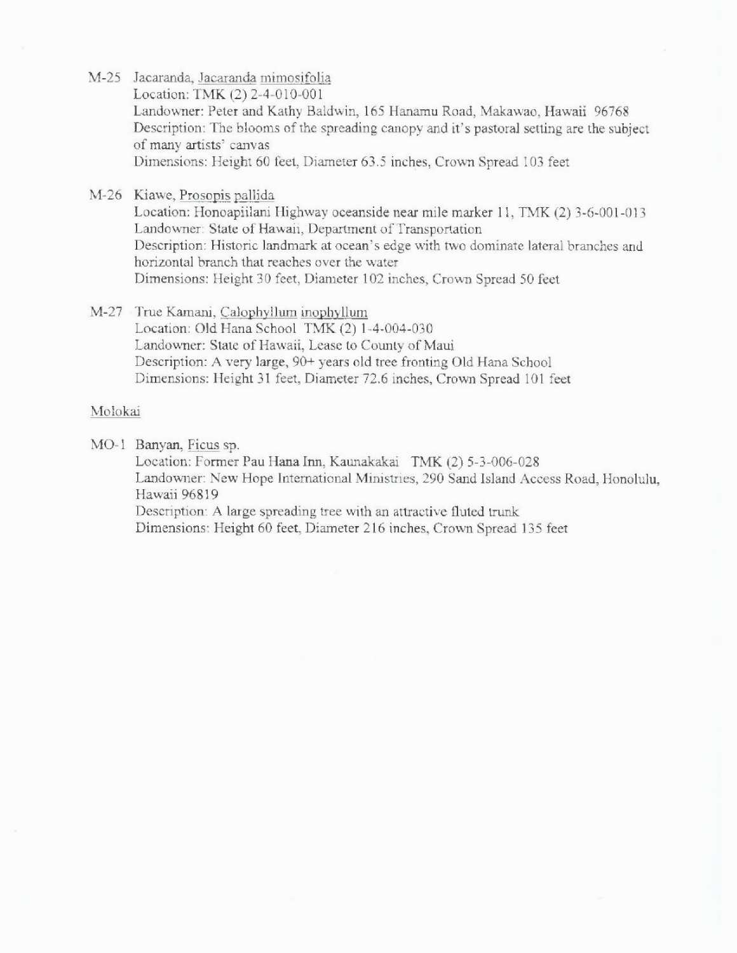- M-25 Jacaranda, Jacaranda mimosifolia Location: TMK (2) 2-4-010-001 Landowner: Peter and Kathy Baldwin, 165 Hanamu Road, Makawao, Hawaii 96768 Description: The blooms of the spreading canopy and it's pastoral setting are the subject of many artists' canvas Dimensions: Height 60 feet, Diameter 63.5 inches, Crown Spread 103 feet
- M-26 Kiawe, Prosopis pallida

Location: Honoapiilani Highway oceanside near mile marker 11, TMK (2) 3-6-001-013 Landowner: State of Hawaii, Department of Transportation Description: Historic landmark at ocean's edge with two dominate lateral branches and horizontal branch that reaches over the water Dimensions: Height 30 feet, Diameter 102 inches, Crown Spread 50 feet

M-27 True Kamani, Calophyllum inophyllum Location: Old Hana School TMK (2) 1-4-004-030 Landowner: State of Hawaii, Lease to County of Maui Description: A very large, 90+ years old tree fronting Old Hana School Dimensions: Height 31 feet, Diameter 72.6 inches, Crown Spread 101 feet

## Molokai

MO-1 Banyan, Ficus sp.

Location: Former Pau Hana Inn, Kaunakakai TMK (2) 5-3-006-028 Landowner: New Hope International Ministries, 290 Sand Island Access Road, Honolulu, Hawaii 96819 Description: A large spreading tree with an attractive fluted trunk

Dimensions: Height 60 feet, Diameter 216 inches, Crown Spread 135 feet